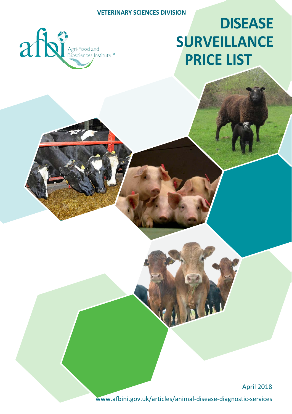

# **DISEASE SURVEILLANCE PRICE LIST**

April 2018

[www.afbini.gov.uk/articles/animal-disease-diagnostic-](http://www.afbini.gov.uk/articles/animal-disease-diagnostic-services)services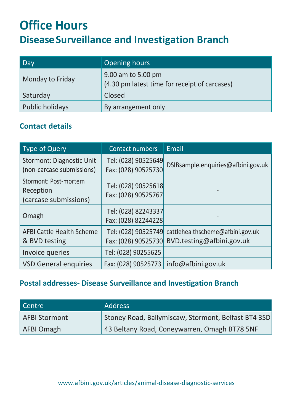## **Office Hours DiseaseSurveillance and Investigation Branch**

| Day              | Opening hours                                                       |
|------------------|---------------------------------------------------------------------|
| Monday to Friday | 9.00 am to 5.00 pm<br>(4.30 pm latest time for receipt of carcases) |
| Saturday         | Closed                                                              |
| Public holidays  | By arrangement only                                                 |

#### **Contact details**

| <b>Type of Query</b>                                        | Contact numbers                            | Email                                                         |
|-------------------------------------------------------------|--------------------------------------------|---------------------------------------------------------------|
| Stormont: Diagnostic Unit<br>(non-carcase submissions)      | Tel: (028) 90525649<br>Fax: (028) 90525730 | DSIBsample.enquiries@afbini.gov.uk                            |
| Stormont: Post-mortem<br>Reception<br>(carcase submissions) | Tel: (028) 90525618<br>Fax: (028) 90525767 |                                                               |
| Omagh                                                       | Tel: (028) 82243337<br>Fax: (028) 82244228 |                                                               |
| <b>AFBI Cattle Health Scheme</b><br>& BVD testing           | Tel: (028) 90525749<br>Fax: (028) 90525730 | cattlehealthscheme@afbini.gov.uk<br>BVD.testing@afbini.gov.uk |
| Invoice queries                                             | Tel: (028) 90255625                        |                                                               |
| <b>VSD General enquiries</b>                                | Fax: (028) 90525773                        | info@afbini.gov.uk                                            |

#### **Postal addresses- Disease Surveillance and Investigation Branch**

| Centre        | <b>Address</b>                                      |
|---------------|-----------------------------------------------------|
| AFBI Stormont | Stoney Road, Ballymiscaw, Stormont, Belfast BT4 3SD |
| AFBI Omagh    | 43 Beltany Road, Coneywarren, Omagh BT78 5NF        |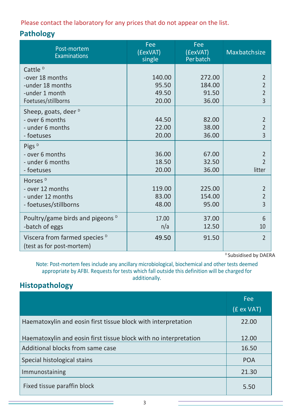Please contact the laboratory for any prices that do not appear on the list.

#### **Pathology**

| Post-mortem<br><b>Examinations</b>                                                                  | Fee<br>(£exVAT)<br>single         | Fee<br>(£exVAT)<br>Per batch       | Maxbatchsize                                                                   |
|-----------------------------------------------------------------------------------------------------|-----------------------------------|------------------------------------|--------------------------------------------------------------------------------|
| Cattle <sup>D</sup><br>-over 18 months<br>-under 18 months<br>-under 1 month<br>Foetuses/stillborns | 140.00<br>95.50<br>49.50<br>20.00 | 272.00<br>184.00<br>91.50<br>36.00 | $\mathfrak{p}$<br>$\overline{2}$<br>$\overline{\phantom{a}}$<br>$\overline{3}$ |
| Sheep, goats, deer $D$<br>- over 6 months<br>- under 6 months<br>- foetuses                         | 44.50<br>22.00<br>20.00           | 82.00<br>38.00<br>36.00            | $\overline{\phantom{a}}$<br>$\overline{2}$<br>3                                |
| Pigs <sup>D</sup><br>- over 6 months<br>- under 6 months<br>- foetuses                              | 36.00<br>18.50<br>20.00           | 67.00<br>32.50<br>36.00            | $\overline{2}$<br>$\mathfrak{p}$<br>litter                                     |
| Horses <sup>D</sup><br>- over 12 months<br>- under 12 months<br>- foetuses/stillborns               | 119.00<br>83.00<br>48.00          | 225.00<br>154.00<br>95.00          | $\overline{2}$<br>$\overline{2}$<br>$\overline{3}$                             |
| Poultry/game birds and pigeons <sup>D</sup><br>-batch of eggs                                       | 17.00<br>n/a                      | 37.00<br>12.50                     | 6<br>10                                                                        |
| Viscera from farmed species <sup>D</sup><br>(test as for post-mortem)                               | 49.50                             | 91.50                              | $\overline{2}$                                                                 |

D Subsidised by DAERA

Note: Post-mortem fees include any ancillary microbiological, biochemical and other tests deemed appropriate by AFBI. Requests for tests which fall outside this definition will be charged for additionally.

### **Histopathology**

|                                                                  | <b>Fee</b><br>(£ ex VAT) |
|------------------------------------------------------------------|--------------------------|
| Haematoxylin and eosin first tissue block with interpretation    | 22.00                    |
| Haematoxylin and eosin first tissue block with no interpretation | 12.00                    |
| Additional blocks from same case                                 | 16.50                    |
| Special histological stains                                      | <b>POA</b>               |
| Immunostaining                                                   | 21.30                    |
| Fixed tissue paraffin block                                      | 5.50                     |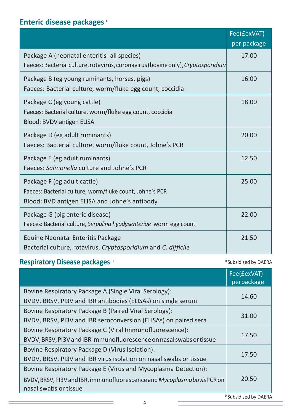#### **Enteric disease packages D**

|                                                                                  | Fee(£exVAT) |
|----------------------------------------------------------------------------------|-------------|
|                                                                                  | per package |
| Package A (neonatal enteritis- all species)                                      | 17.00       |
| Faeces: Bacterial culture, rotavirus, coronavirus (bovine only), Cryptosporidium |             |
| Package B (eg young ruminants, horses, pigs)                                     | 16.00       |
| Faeces: Bacterial culture, worm/fluke egg count, coccidia                        |             |
| Package C (eg young cattle)                                                      | 18.00       |
| Faeces: Bacterial culture, worm/fluke egg count, coccidia                        |             |
| Blood: BVDV antigen ELISA                                                        |             |
| Package D (eg adult ruminants)                                                   | 20.00       |
| Faeces: Bacterial culture, worm/fluke count, Johne's PCR                         |             |
| Package E (eg adult ruminants)                                                   | 12.50       |
| Faeces: Salmonella culture and Johne's PCR                                       |             |
| Package F (eg adult cattle)                                                      | 25.00       |
| Faeces: Bacterial culture, worm/fluke count, Johne's PCR                         |             |
| Blood: BVD antigen ELISA and Johne's antibody                                    |             |
| Package G (pig enteric disease)                                                  | 22.00       |
| Faeces: Bacterial culture, Serpulina hyodysenteriae worm egg count               |             |
| Equine Neonatal Enteritis Package                                                | 21.50       |
| Bacterial culture, rotavirus, <i>Cryptosporidium</i> and <i>C. difficile</i>     |             |

#### **Respiratory Disease packages D**  $\circ$  Desembed by DAERA

|                                                                                 | Fee(£exVAT)<br>perpackage |
|---------------------------------------------------------------------------------|---------------------------|
| Bovine Respiratory Package A (Single Viral Serology):                           |                           |
| BVDV, BRSV, PI3V and IBR antibodies (ELISAs) on single serum                    | 14.60                     |
| Bovine Respiratory Package B (Paired Viral Serology):                           |                           |
| BVDV, BRSV, PI3V and IBR seroconversion (ELISAs) on paired sera                 | 31.00                     |
| Bovine Respiratory Package C (Viral Immunofluorescence):                        |                           |
| BVDV, BRSV, PI3V and IBR immunofluorescence on nasal swabs or tissue            | 17.50                     |
| Bovine Respiratory Package D (Virus Isolation):                                 |                           |
| BVDV, BRSV, PI3V and IBR virus isolation on nasal swabs or tissue               | 17.50                     |
| Bovine Respiratory Package E (Virus and Mycoplasma Detection):                  |                           |
| BVDV, BRSV, PI3V and IBR, immunofluorescence and <i>Mycoplasma bovis</i> PCR on | 20.50                     |
| nasal swabs or tissue                                                           |                           |

D<sub>D</sub>Subsidised by DAERA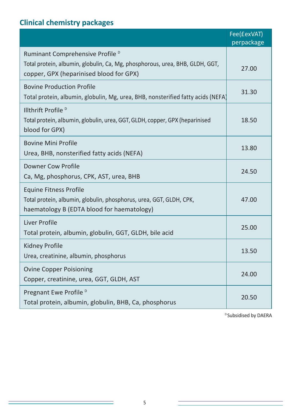### **Clinical chemistry packages**

|                                                                                                                                                                        | Fee(£exVAT)<br>perpackage |
|------------------------------------------------------------------------------------------------------------------------------------------------------------------------|---------------------------|
| Ruminant Comprehensive Profile <sup>D</sup><br>Total protein, albumin, globulin, Ca, Mg, phosphorous, urea, BHB, GLDH, GGT,<br>copper, GPX (heparinised blood for GPX) | 27.00                     |
| <b>Bovine Production Profile</b><br>Total protein, albumin, globulin, Mg, urea, BHB, nonsterified fatty acids (NEFA)                                                   | 31.30                     |
| Illthrift Profile <sup>D</sup><br>Total protein, albumin, globulin, urea, GGT, GLDH, copper, GPX (heparinised<br>blood for GPX)                                        | 18.50                     |
| <b>Bovine Mini Profile</b><br>Urea, BHB, nonsterified fatty acids (NEFA)                                                                                               | 13.80                     |
| <b>Downer Cow Profile</b><br>Ca, Mg, phosphorus, CPK, AST, urea, BHB                                                                                                   | 24.50                     |
| <b>Equine Fitness Profile</b><br>Total protein, albumin, globulin, phosphorus, urea, GGT, GLDH, CPK,<br>haematology B (EDTA blood for haematology)                     | 47.00                     |
| Liver Profile<br>Total protein, albumin, globulin, GGT, GLDH, bile acid                                                                                                | 25.00                     |
| Kidney Profile<br>Urea, creatinine, albumin, phosphorus                                                                                                                | 13.50                     |
| <b>Ovine Copper Poisioning</b><br>Copper, creatinine, urea, GGT, GLDH, AST                                                                                             | 24.00                     |
| Pregnant Ewe Profile <sup>D</sup><br>Total protein, albumin, globulin, BHB, Ca, phosphorus                                                                             | 20.50                     |

<sup>D</sup> Subsidised by DAERA

<u> 1989 - Johann Barnett, fransk politiker (</u>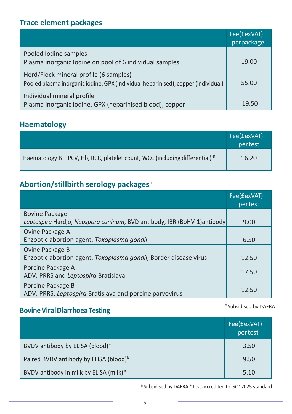#### **Trace element packages**

|                                                                                                                             | Fee(£exVAT)<br>perpackage |
|-----------------------------------------------------------------------------------------------------------------------------|---------------------------|
| Pooled Iodine samples<br>Plasma inorganic Iodine on pool of 6 individual samples                                            | 19.00                     |
| Herd/Flock mineral profile (6 samples)<br>Pooled plasma inorganic iodine, GPX (individual heparinised), copper (individual) | 55.00                     |
| Individual mineral profile<br>Plasma inorganic iodine, GPX (heparinised blood), copper                                      | 19.50                     |

#### **Haematology**

|                                                                                       | Fee(£exVAT)<br>pertest |
|---------------------------------------------------------------------------------------|------------------------|
| Haematology B - PCV, Hb, RCC, platelet count, WCC (including differential) $\text{D}$ | 16.20                  |

#### **Abortion/stillbirth serology packages** D

|                                                                                                  | Fee(£exVAT)<br>pertest |
|--------------------------------------------------------------------------------------------------|------------------------|
| <b>Bovine Package</b><br>Leptospira Hardjo, Neospora caninum, BVD antibody, IBR (BoHV-1)antibody | 9.00                   |
| Ovine Package A<br>Enzootic abortion agent, Toxoplasma gondii                                    | 6.50                   |
| Ovine Package B<br>Enzootic abortion agent, Toxoplasma gondii, Border disease virus              | 12.50                  |
| Porcine Package A<br>ADV, PRRS and Leptospira Bratislava                                         | 17.50                  |
| Porcine Package B<br>ADV, PRRS, Leptospira Bratislava and porcine parvovirus                     | 12.50                  |

#### **BovineViralDiarrhoeaTesting**

Fee(£exVAT) pertest BVDV antibody by ELISA (blood)\* 3.50 Paired BVDV antibody by ELISA (blood)<sup>D</sup>  $\sim$  9.50 BVDV antibody in milk by ELISA (milk)\* 5.10

<sup>D</sup> Subsidised by DAERA \*Test accredited to ISO17025 standard

<sup>D</sup> Subsidised by DAERA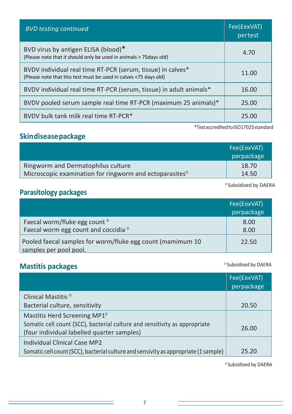| <b>BVD testing continued</b>                                                                                                    | Fee(£exVAT)<br>pertest |
|---------------------------------------------------------------------------------------------------------------------------------|------------------------|
| BVD virus by antigen ELISA (blood)*<br>{Please note that it should only be used in animals > 75 days old}                       | 4.70                   |
| BVDV individual real time RT-PCR (serum, tissue) in calves*<br>{Please note that this test must be used in calves <75 days old} | 11.00                  |
| BVDV individual real time RT-PCR (serum, tissue) in adult animals*                                                              | 16.00                  |
| BVDV pooled serum sample real time RT-PCR (maximum 25 animals)*                                                                 | 25.00                  |
| BVDV bulk tank milk real time RT-PCR*                                                                                           | 25.00                  |

#### **Skindiseasepackage**

|                                                                     | Fee(£exVAT) |
|---------------------------------------------------------------------|-------------|
|                                                                     | perpackage  |
| Ringworm and Dermatophilus culture                                  | 18.70       |
| Microscopic examination for ringworm and ectoparasites <sup>D</sup> | 14.50       |

<sup>D</sup> Subsidised by DAERA

\*TestaccreditedtoISO17025standard

#### **Parasitology packages**

|                                                                                      | Fee(£exVAT) |
|--------------------------------------------------------------------------------------|-------------|
|                                                                                      | perpackage  |
| Faecal worm/fluke egg count <sup>D</sup>                                             | 8.00        |
| Faecal worm egg count and coccidia <sup>D</sup>                                      | 8.00        |
| Pooled faecal samples for worm/fluke egg count (mamimum 10<br>samples per pool pool. | 22.50       |

### **Mastitis packages** DESUS DAERA

|                                                                                                                          | Fee(£exVAT)<br>perpackage |
|--------------------------------------------------------------------------------------------------------------------------|---------------------------|
| Clinical Mastitis <sup>D</sup>                                                                                           |                           |
| Bacterial culture, sensitivity                                                                                           | 20.50                     |
| Mastitis Herd Screening MP1 <sup>D</sup>                                                                                 |                           |
| Somatic cell count (SCC), bacterial culture and sensitivity as appropriate<br>(four individual labelled quarter samples) | 26.00                     |
| Individual Clinical Case MP2<br>Somatic cell count (SCC), bacterial culture and sensivity as appropriate (1 sample)      | 25.20                     |

<sup>D</sup> Subsidised by DAERA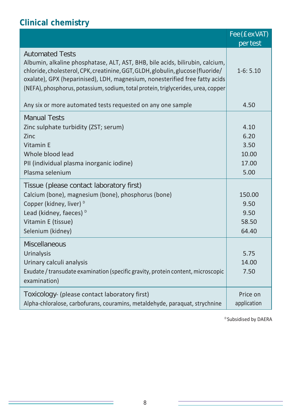### **Clinical chemistry**

|                                                                                                                                                                                                                                                                                                                                                                | Fee (£ex VAT)                                  |
|----------------------------------------------------------------------------------------------------------------------------------------------------------------------------------------------------------------------------------------------------------------------------------------------------------------------------------------------------------------|------------------------------------------------|
|                                                                                                                                                                                                                                                                                                                                                                | per test                                       |
| <b>Automated Tests</b><br>Albumin, alkaline phosphatase, ALT, AST, BHB, bile acids, bilirubin, calcium,<br>chloride, cholesterol, CPK, creatinine, GGT, GLDH, globulin, glucose (fluoride/<br>oxalate), GPX (heparinised), LDH, magnesium, nonesterified free fatty acids<br>(NEFA), phosphorus, potassium, sodium, total protein, triglycerides, urea, copper | $1-6:5.10$                                     |
| Any six or more automated tests requested on any one sample                                                                                                                                                                                                                                                                                                    | 4.50                                           |
| <b>Manual Tests</b><br>Zinc sulphate turbidity (ZST; serum)<br>Zinc<br>Vitamin F<br>Whole blood lead<br>PII (individual plasma inorganic iodine)<br>Plasma selenium                                                                                                                                                                                            | 4.10<br>6.20<br>3.50<br>10.00<br>17.00<br>5.00 |
| Tissue (please contact laboratory first)<br>Calcium (bone), magnesium (bone), phosphorus (bone)<br>Copper (kidney, liver) <sup>D</sup><br>Lead (kidney, faeces) <sup>D</sup><br>Vitamin E (tissue)<br>Selenium (kidney)                                                                                                                                        | 150.00<br>9.50<br>9.50<br>58.50<br>64.40       |
| Miscellaneous<br><b>Urinalysis</b><br>Urinary calculi analysis<br>Exudate / transudate examination (specific gravity, protein content, microscopic<br>examination)                                                                                                                                                                                             | 5.75<br>14.00<br>7.50                          |
| Toxicology- (please contact laboratory first)<br>Alpha-chloralose, carbofurans, couramins, metaldehyde, paraquat, strychnine                                                                                                                                                                                                                                   | Price on<br>application                        |

<sup>D</sup> Subsidised by DAERA

Ī,

<u> 1989 - Johann Barn, amerikansk politiker (</u>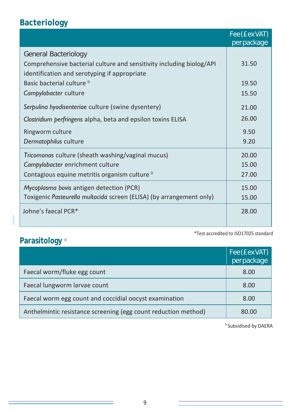### **Bacteriology**

|                                                                      | Fee (£ex VAT)<br>perpackage |
|----------------------------------------------------------------------|-----------------------------|
| <b>General Bacteriology</b>                                          |                             |
| Comprehensive bacterial culture and sensitivity including biolog/API | 31.50                       |
| identification and serotyping if appropriate                         |                             |
| Basic bacterial culture <sup>D</sup>                                 | 19.50                       |
| Campylobacter culture                                                | 15.50                       |
| Serpulina hyodisenteriae culture (swine dysentery)                   | 21.00                       |
| Clostridium perfringens alpha, beta and epsilon toxins ELISA         | 26.00                       |
| Ringworm culture                                                     | 9.50                        |
| Dermatophilus culture                                                | 9.20                        |
| Tricomonas culture (sheath washing/vaginal mucus)                    | 20.00                       |
| Campylobacter enrichment culture                                     | 15.00                       |
| Contagious equine metritis organism culture <sup>D</sup>             | 27.00                       |
| Mycoplasma bovis antigen detection (PCR)                             | 15.00                       |
| Toxigenic Pasteurella multocida screen (ELISA) (by arrangement only) | 15.00                       |
| Johne's faecal PCR*                                                  | 28.00                       |

### Parasitology **D**

|                                                                | Fee (£ex VAT)<br>perpackage |
|----------------------------------------------------------------|-----------------------------|
| Faecal worm/fluke egg count                                    | 8.00                        |
| Faecal lungworm larvae count                                   | 8.00                        |
| Faecal worm egg count and coccidial oocyst examination         | 8.00                        |
| Anthelmintic resistance screening (egg count reduction method) | 80.00                       |

D Subsidised by DAERA

\*Test accredited to ISO17025 standard

Ī,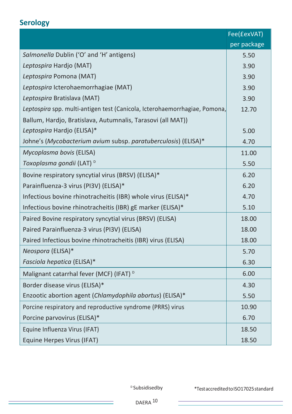#### **Serology**

|                                                                            | Fee(£exVAT) |
|----------------------------------------------------------------------------|-------------|
|                                                                            | per package |
| Salmonella Dublin ('O' and 'H' antigens)                                   | 5.50        |
| Leptospira Hardjo (MAT)                                                    | 3.90        |
| Leptospira Pomona (MAT)                                                    | 3.90        |
| Leptospira Icterohaemorrhagiae (MAT)                                       | 3.90        |
| Leptospira Bratislava (MAT)                                                | 3.90        |
| Leptospira spp. multi-antigen test (Canicola, Icterohaemorrhagiae, Pomona, | 12.70       |
| Ballum, Hardjo, Bratislava, Autumnalis, Tarasovi (all MAT))                |             |
| Leptospira Hardjo (ELISA)*                                                 | 5.00        |
| Johne's (Mycobacterium avium subsp. paratuberculosis) (ELISA)*             | 4.70        |
| Mycoplasma bovis (ELISA)                                                   | 11.00       |
| Toxoplasma gondii (LAT) <sup>D</sup>                                       | 5.50        |
| Bovine respiratory syncytial virus (BRSV) (ELISA)*                         | 6.20        |
| Parainfluenza-3 virus (PI3V) (ELISA)*                                      | 6.20        |
| Infectious bovine rhinotracheitis (IBR) whole virus (ELISA)*               | 4.70        |
| Infectious bovine rhinotracheitis (IBR) gE marker (ELISA)*                 | 5.10        |
| Paired Bovine respiratory syncytial virus (BRSV) (ELISA)                   | 18.00       |
| Paired Parainfluenza-3 virus (PI3V) (ELISA)                                | 18.00       |
| Paired Infectious bovine rhinotracheitis (IBR) virus (ELISA)               | 18.00       |
| Neospora (ELISA)*                                                          | 5.70        |
| Fasciola hepatica (ELISA)*                                                 | 6.30        |
| Malignant catarrhal fever (MCF) (IFAT) <sup>D</sup>                        | 6.00        |
| Border disease virus (ELISA)*                                              | 4.30        |
| Enzootic abortion agent (Chlamydophila abortus) (ELISA)*                   | 5.50        |
| Porcine respiratory and reproductive syndrome (PRRS) virus                 | 10.90       |
| Porcine parvovirus (ELISA)*                                                | 6.70        |
| Equine Influenza Virus (IFAT)                                              | 18.50       |
| Equine Herpes Virus (IFAT)                                                 | 18.50       |

<sup>D</sup>Subsidisedby \*Test accredited to ISO17025 standard

÷.

<u> 1980 - Johann Barnett, fransk politik (</u>